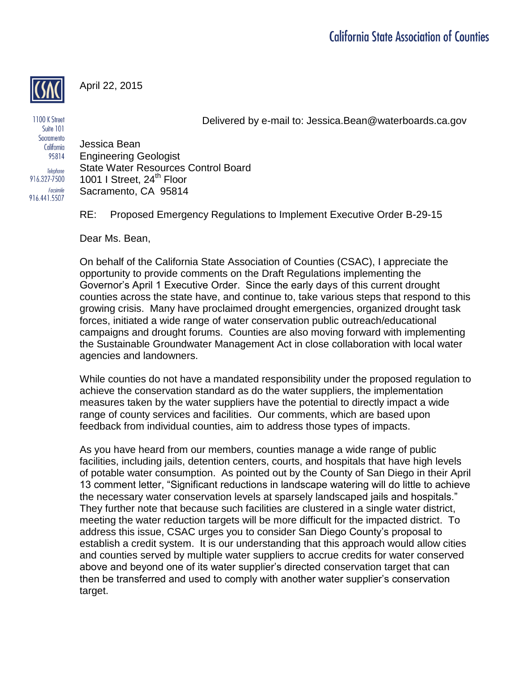April 22, 2015

Delivered by e-mail to: Jessica.Bean@waterboards.ca.gov

1100 K Street Suite 101 Sacramento California 95814 Telephone 916.327-7500 Facsimile 916.441.5507

Jessica Bean Engineering Geologist State Water Resources Control Board 1001 I Street, 24<sup>th</sup> Floor Sacramento, CA 95814

RE: Proposed Emergency Regulations to Implement Executive Order B-29-15

Dear Ms. Bean,

On behalf of the California State Association of Counties (CSAC), I appreciate the opportunity to provide comments on the Draft Regulations implementing the Governor's April 1 Executive Order. Since the early days of this current drought counties across the state have, and continue to, take various steps that respond to this growing crisis. Many have proclaimed drought emergencies, organized drought task forces, initiated a wide range of water conservation public outreach/educational campaigns and drought forums. Counties are also moving forward with implementing the Sustainable Groundwater Management Act in close collaboration with local water agencies and landowners.

While counties do not have a mandated responsibility under the proposed regulation to achieve the conservation standard as do the water suppliers, the implementation measures taken by the water suppliers have the potential to directly impact a wide range of county services and facilities. Our comments, which are based upon feedback from individual counties, aim to address those types of impacts.

As you have heard from our members, counties manage a wide range of public facilities, including jails, detention centers, courts, and hospitals that have high levels of potable water consumption. As pointed out by the County of San Diego in their April 13 comment letter, "Significant reductions in landscape watering will do little to achieve the necessary water conservation levels at sparsely landscaped jails and hospitals." They further note that because such facilities are clustered in a single water district, meeting the water reduction targets will be more difficult for the impacted district. To address this issue, CSAC urges you to consider San Diego County's proposal to establish a credit system. It is our understanding that this approach would allow cities and counties served by multiple water suppliers to accrue credits for water conserved above and beyond one of its water supplier's directed conservation target that can then be transferred and used to comply with another water supplier's conservation target.